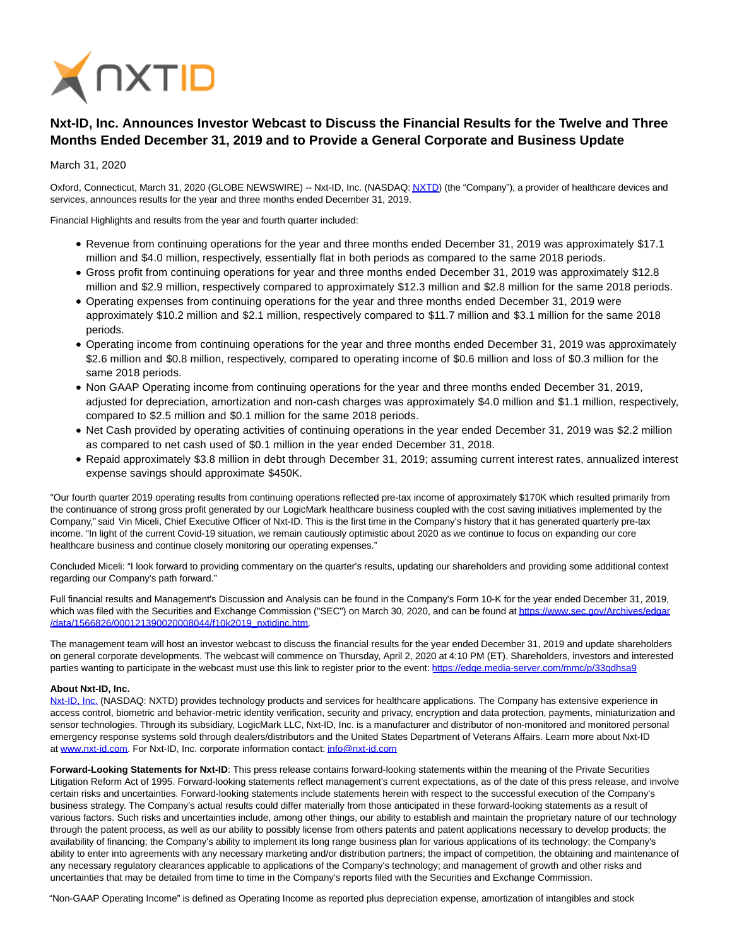

## **Nxt-ID, Inc. Announces Investor Webcast to Discuss the Financial Results for the Twelve and Three Months Ended December 31, 2019 and to Provide a General Corporate and Business Update**

March 31, 2020

Oxford, Connecticut, March 31, 2020 (GLOBE NEWSWIRE) -- Nxt-ID, Inc. (NASDAQ[: NXTD\)](https://www.globenewswire.com/Tracker?data=THEGNmbB64KK2sz8cMDRvn37STpJAfsdnQ5d2Ni1p7QCpuwX5JK9GEk2Fs9Lh25gmGEq6IkSttzvnWpuPo9QPQ==) (the "Company"), a provider of healthcare devices and services, announces results for the year and three months ended December 31, 2019.

Financial Highlights and results from the year and fourth quarter included:

- Revenue from continuing operations for the year and three months ended December 31, 2019 was approximately \$17.1 million and \$4.0 million, respectively, essentially flat in both periods as compared to the same 2018 periods.
- Gross profit from continuing operations for year and three months ended December 31, 2019 was approximately \$12.8 million and \$2.9 million, respectively compared to approximately \$12.3 million and \$2.8 million for the same 2018 periods.
- Operating expenses from continuing operations for the year and three months ended December 31, 2019 were approximately \$10.2 million and \$2.1 million, respectively compared to \$11.7 million and \$3.1 million for the same 2018 periods.
- Operating income from continuing operations for the year and three months ended December 31, 2019 was approximately \$2.6 million and \$0.8 million, respectively, compared to operating income of \$0.6 million and loss of \$0.3 million for the same 2018 periods.
- Non GAAP Operating income from continuing operations for the year and three months ended December 31, 2019, adjusted for depreciation, amortization and non-cash charges was approximately \$4.0 million and \$1.1 million, respectively, compared to \$2.5 million and \$0.1 million for the same 2018 periods.
- Net Cash provided by operating activities of continuing operations in the year ended December 31, 2019 was \$2.2 million as compared to net cash used of \$0.1 million in the year ended December 31, 2018.
- Repaid approximately \$3.8 million in debt through December 31, 2019; assuming current interest rates, annualized interest expense savings should approximate \$450K.

"Our fourth quarter 2019 operating results from continuing operations reflected pre-tax income of approximately \$170K which resulted primarily from the continuance of strong gross profit generated by our LogicMark healthcare business coupled with the cost saving initiatives implemented by the Company," said Vin Miceli, Chief Executive Officer of Nxt-ID. This is the first time in the Company's history that it has generated quarterly pre-tax income. "In light of the current Covid-19 situation, we remain cautiously optimistic about 2020 as we continue to focus on expanding our core healthcare business and continue closely monitoring our operating expenses."

Concluded Miceli: "I look forward to providing commentary on the quarter's results, updating our shareholders and providing some additional context regarding our Company's path forward."

Full financial results and Management's Discussion and Analysis can be found in the Company's Form 10-K for the year ended December 31, 2019, which was filed with the Securities and Exchange Commission ("SEC") on March 30, 2020, and can be found a[t https://www.sec.gov/Archives/edgar](https://www.globenewswire.com/Tracker?data=TSVetJdUyIEurLIOWTdBzAYXCgbC7h9yzGpEwCQec7o1L3ygl2FvJ32pd6KI-IaII4z10i2TM3ZXfc_o-EiLOPQ4joapti_GKbz9msau_NGUU3UdFx5nL0grVb-QLxeh-3FYnuHYlGbN8lgwVPGlZT6gcMVVtB5zGha46wC6Xdd_kkFM138Ovpi9vstWlIPMwV4FNUyFNfeD9gEXzLI7YKp_1mnwMR_xiNAZFKBY2SzZQik893af0P7TXt1iIP8ms0jlHKPKgP9eexq3s68l7Q==) /data/1566826/000121390020008044/f10k2019\_nxtidinc.htm.

The management team will host an investor webcast to discuss the financial results for the year ended December 31, 2019 and update shareholders on general corporate developments. The webcast will commence on Thursday, April 2, 2020 at 4:10 PM (ET). Shareholders, investors and interested parties wanting to participate in the webcast must use this link to register prior to the event: [https://edge.media-server.com/mmc/p/33qdhsa9](https://www.globenewswire.com/Tracker?data=TSVetJdUyIEurLIOWTdBzANIcA5p50Hlp_hashLrgSbNcBiwKUTkcWWGGgPquzRh9vXvN6Yg5vd7ZhG5Il8RZRhZw-bF350yroRPafojOaI-Y9tAoUP0KNW514HGkZDDUNwpkOunM9v2ogvBxi0SDA==)

## **About Nxt-ID, Inc.**

[Nxt-ID, Inc. \(](https://www.globenewswire.com/Tracker?data=2loemC_8Bro6SQr7-lo7NMTum6IWrPevwfy7uCkcXTkkX34Hy1frXUT1xLbgDDkTJEAH3dab799Kp6gDUDDbeg==)NASDAQ: NXTD) provides technology products and services for healthcare applications. The Company has extensive experience in access control, biometric and behavior-metric identity verification, security and privacy, encryption and data protection, payments, miniaturization and sensor technologies. Through its subsidiary, LogicMark LLC, Nxt-ID, Inc. is a manufacturer and distributor of non-monitored and monitored personal emergency response systems sold through dealers/distributors and the United States Department of Veterans Affairs. Learn more about Nxt-ID at [www.nxt-id.com.](https://www.globenewswire.com/Tracker?data=eEZ8Ah7jJXi9D2qriP90x0zFUGi90GRb8vkYFXZi4lHfLdnrZrYY7kHkXEIv86HO4W-Bgg842rUdLK-gC--PLA==) For Nxt-ID, Inc. corporate information contact[: info@nxt-id.com](https://www.globenewswire.com/Tracker?data=CFQS83PX918dfEFv2On168_vk_WeJdtSzR0BEMeMOdHqBPkeqRH5Gh4knnccNOJXEEqNJaTtIpi8llWjWS9fkQ==)

**Forward-Looking Statements for Nxt-ID**: This press release contains forward-looking statements within the meaning of the Private Securities Litigation Reform Act of 1995. Forward-looking statements reflect management's current expectations, as of the date of this press release, and involve certain risks and uncertainties. Forward-looking statements include statements herein with respect to the successful execution of the Company's business strategy. The Company's actual results could differ materially from those anticipated in these forward-looking statements as a result of various factors. Such risks and uncertainties include, among other things, our ability to establish and maintain the proprietary nature of our technology through the patent process, as well as our ability to possibly license from others patents and patent applications necessary to develop products; the availability of financing; the Company's ability to implement its long range business plan for various applications of its technology; the Company's ability to enter into agreements with any necessary marketing and/or distribution partners; the impact of competition, the obtaining and maintenance of any necessary regulatory clearances applicable to applications of the Company's technology; and management of growth and other risks and uncertainties that may be detailed from time to time in the Company's reports filed with the Securities and Exchange Commission.

"Non-GAAP Operating Income" is defined as Operating Income as reported plus depreciation expense, amortization of intangibles and stock